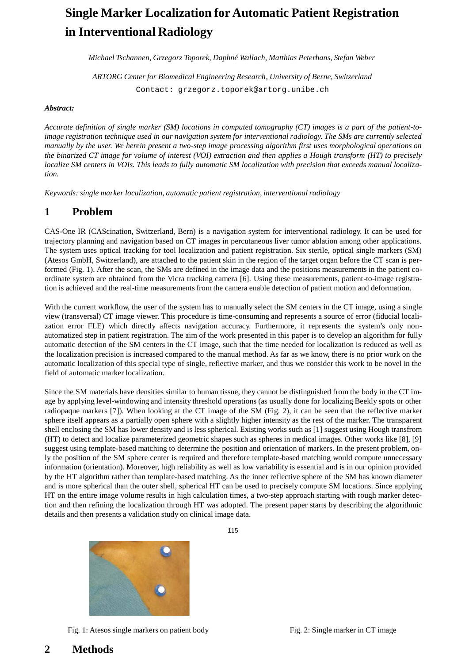# **Single Marker Localization for Automatic Patient Registration in Interventional Radiology**

*Michael Tschannen, Grzegorz Toporek, Daphné Wallach, Matthias Peterhans, Stefan Weber*

*ARTORG Center for Biomedical Engineering Research, University of Berne, Switzerland* Contact: [grzegorz.toporek@artorg.unibe.ch](mailto:grzegorz.toporek@artorg.unibe.ch)

#### *Abstract:*

Accurate definition of single marker (SM) locations in computed tomography  $(CT)$  images is a part of the patient-to*image registration technique used in our navigation system for interventional radiology. The SMs are currently selected*  manually by the user. We herein present a two-step image processing algorithm first uses morphological operations on the binarized CT image for volume of interest (VOI) extraction and then applies a Hough transform (HT) to precisely localize SM centers in VOIs. This leads to fully automatic SM localization with precision that exceeds manual localiza*tion.*

*Keywords: single marker localization, automatic patient registration, interventional radiology*

## **1 Problem**

CAS-One IR (CAScination, Switzerland, Bern) is a navigation system for interventional radiology. It can be used for trajectory planning and navigation based on CT images in percutaneous liver tumor ablation among other applications. The system uses optical tracking for tool localization and patient registration. Six sterile, optical single markers (SM) (Atesos GmbH, Switzerland), are attached to the patient skin in the region of the target organ before the CT scan is performed (Fig. 1). After the scan, the SMs are defined in the image data and the positions measurements in the patient coordinate system are obtained from the Vicra tracking camera [6]. Using these measurements, patient-to-image registration is achieved and the real-time measurements from the camera enable detection of patient motion and deformation.

With the current workflow, the user of the system has to manually select the SM centers in the CT image, using a single view (transversal) CT image viewer. This procedure is time-consuming and represents a source of error (fiducial localization error FLE) which directly affects navigation accuracy. Furthermore, it represents the system's only nonautomatized step in patient registration. The aim of the work presented in this paper is to develop an algorithm for fully automatic detection of the SM centers in the CT image, such that the time needed for localization is reduced as well as the localization precision is increased compared to the manual method. As far as we know, there is no prior work on the automatic localization of this special type of single, reflective marker, and thus we consider this work to be novel in the field of automatic marker localization.

Since the SM materials have densities similar to human tissue, they cannot be distinguished from the body in the CT image by applying level-windowing and intensity threshold operations (as usually done for localizing Beekly spots or other radiopaque markers [7]). When looking at the CT image of the SM (Fig. 2), it can be seen that the reflective marker sphere itself appears as a partially open sphere with a slightly higher intensity as the rest of the marker. The transparent shell enclosing the SM has lower density and is less spherical. Existing works such as [1] suggest using Hough transfrom (HT) to detect and localize parameterized geometric shapes such as spheres in medical images. Other works like [8], [9] suggest using template-based matching to determine the position and orientation of markers. In the present problem, only the position of the SM sphere center is required and therefore template-based matching would compute unnecessary information (orientation). Moreover, high reliability as well as low variability is essential and is in our opinion provided by the HT algorithm rather than template-based matching. As the inner reflective sphere of the SM has known diameter and is more spherical than the outer shell, spherical HT can be used to precisely compute SM locations. Since applying HT on the entire image volume results in high calculation times, a two-step approach starting with rough marker detection and then refining the localization through HT was adopted. The present paper starts by describing the algorithmic details and then presents a validation study on clinical image data.

Fig. 1: Atesos single markers on patient body Fig. 2: Single marker in CT image

115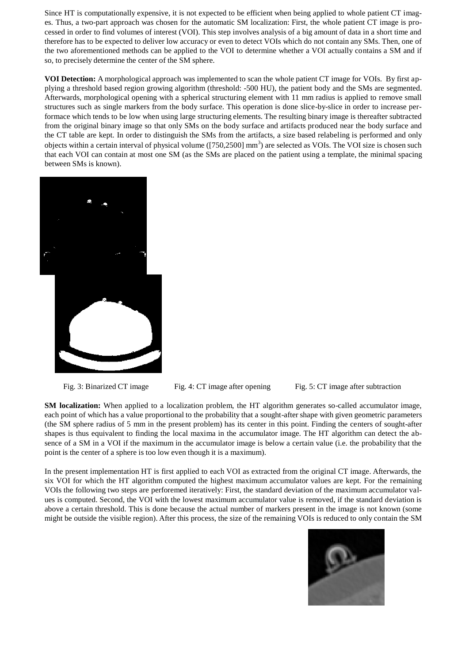Since HT is computationally expensive, it is not expected to be efficient when being applied to whole patient CT images. Thus, a two-part approach was chosen for the automatic SM localization: First, the whole patient CT image is processed in order to find volumes of interest (VOI). This step involves analysis of a big amount of data in a short time and therefore has to be expected to deliver low accuracy or even to detect VOIs which do not contain any SMs. Then, one of the two aforementioned methods can be applied to the VOI to determine whether a VOI actually contains a SM and if so, to precisely determine the center of the SM sphere.

**VOI Detection:** A morphological approach was implemented to scan the whole patient CT image for VOIs. By first applying a threshold based region growing algorithm (threshold: -500 HU), the patient body and the SMs are segmented. Afterwards, morphological opening with a spherical structuring element with 11 mm radius is applied to remove small structures such as single markers from the body surface. This operation is done slice-by-slice in order to increase performace which tends to be low when using large structuring elements. The resulting binary image is thereafter subtracted from the original binary image so that only SMs on the body surface and artifacts produced near the body surface and the CT table are kept. In order to distinguish the SMs from the artifacts, a size based relabeling is performed and only objects within a certain interval of physical volume ([750,2500] mm<sup>3</sup>) are selected as VOIs. The VOI size is chosen such that each VOI can contain at most one SM (as the SMs are placed on the patient using a template, the minimal spacing between SMs is known).



Fig. 3: Binarized CT image Fig. 4: CT image after opening Fig. 5: CT image after subtraction

**SM localization:** When applied to a localization problem, the HT algorithm generates so-called accumulator image, each point of which has a value proportional to the probability that a sought-after shape with given geometric parameters (the SM sphere radius of 5 mm in the present problem) has its center in this point. Finding the centers of sought-after shapes is thus equivalent to finding the local maxima in the accumulator image. The HT algorithm can detect the absence of a SM in a VOI if the maximum in the accumulator image is below a certain value (i.e. the probability that the point is the center of a sphere is too low even though it is a maximum).

In the present implementation HT is first applied to each VOI as extracted from the original CT image. Afterwards, the six VOI for which the HT algorithm computed the highest maximum accumulator values are kept. For the remaining VOIs the following two steps are perforemed iteratively: First, the standard deviation of the maximum accumulator values is computed. Second, the VOI with the lowest maximum accumulator value is removed, if the standard deviation is above a certain threshold. This is done because the actual number of markers present in the image is not known (some might be outside the visible region). After this process, the size of the remaining VOIs is reduced to only contain the SM

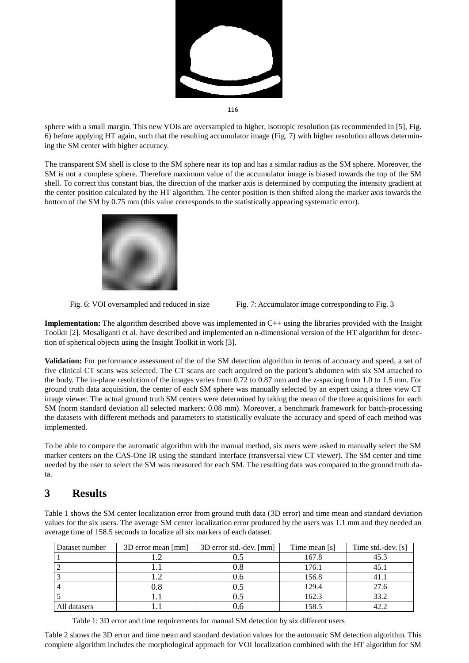

116

sphere with a small margin. This new VOIs are oversampled to higher, isotropic resolution (as recommended in [5], Fig. 6) before applying HT again, such that the resulting accumulator image (Fig. 7) with higher resolution allows determining the SM center with higher accuracy.

The transparent SM shell is close to the SM sphere near its top and has a similar radius as the SM sphere. Moreover, the SM is not a complete sphere. Therefore maximum value of the accumulator image is biased towards the top of the SM shell. To correct this constant bias, the direction of the marker axis is determined by computing the intensity gradient at the center position calculated by the HT algorithm. The center position is then shifted along the marker axis towards the bottom of the SM by 0.75 mm (this value corresponds to the statistically appearing systematic error).





**Implementation:** The algorithm described above was implemented in C++ using the libraries provided with the Insight Toolkit [2]. Mosaliganti et al. have described and implemented an n-dimensional version of the HT algorithm for detection of spherical objects using the Insight Toolkit in work [3].

**Validation:** For performance assessment of the of the SM detection algorithm in terms of accuracy and speed, a set of five clinical CT scans was selected. The CT scans are each acquired on the patient's abdomen with six SM attached to the body. The in-plane resolution of the images varies from 0.72 to 0.87 mm and the z-spacing from 1.0 to 1.5 mm. For ground truth data acquisition, the center of each SM sphere was manually selected by an expert using a three view CT image viewer. The actual ground truth SM centers were determined by taking the mean of the three acquisitions for each SM (norm standard deviation all selected markers: 0.08 mm). Moreover, a benchmark framework for batch-processing the datasets with different methods and parameters to statistically evaluate the accuracy and speed of each method was implemented.

To be able to compare the automatic algorithm with the manual method, six users were asked to manually select the SM marker centers on the CAS-One IR using the standard interface (transversal view CT viewer). The SM center and time needed by the user to select the SM was measured for each SM. The resulting data was compared to the ground truth data.

## **3 Results**

Table 1 shows the SM center localization error from ground truth data (3D error) and time mean and standard deviation values for the six users. The average SM center localization error produced by the users was 1.1 mm and they needed an average time of 158.5 seconds to localize all six markers of each dataset.

| Dataset number | 3D error mean [mm] | 3D error std.-dev. [mm] | Time mean [s] | Time std.-dev. [s] |
|----------------|--------------------|-------------------------|---------------|--------------------|
|                |                    | U.S                     | 167.8         | 45.3               |
|                |                    | ).୪                     | 176.1         | 45.1               |
|                |                    | U.O                     | 156.8         | 41.1               |
|                | 0.8                | 0.5                     | 129.4         | 27.6               |
|                |                    | J.5                     | 162.3         | 33.2               |
| All datasets   |                    | J.O                     | 158.5         | 42.2               |

Table 1: 3D error and time requirements for manual SM detection by six different users

Table 2 shows the 3D error and time mean and standard deviation values for the automatic SM detection algorithm. This complete algorithm includes the morphological approach for VOI localization combined with the HT algorithm for SM